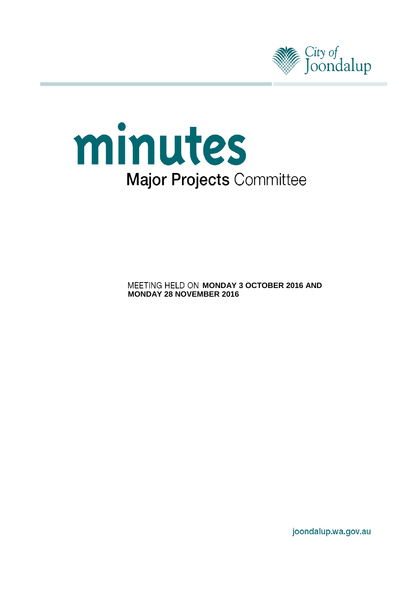



**MEETING HELD ON MONDAY 3 OCTOBER 2016 AND MONDAY 28 NOVEMBER 2016**

joondalup.wa.gov.au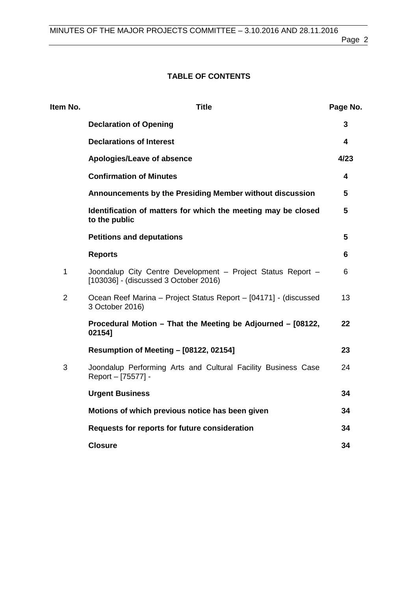# **TABLE OF CONTENTS**

| Item No.       | <b>Title</b>                                                                                         | Page No.                |
|----------------|------------------------------------------------------------------------------------------------------|-------------------------|
|                | <b>Declaration of Opening</b>                                                                        | 3                       |
|                | <b>Declarations of Interest</b>                                                                      | $\overline{\mathbf{4}}$ |
|                | Apologies/Leave of absence                                                                           | 4/23                    |
|                | <b>Confirmation of Minutes</b>                                                                       | 4                       |
|                | Announcements by the Presiding Member without discussion                                             | 5                       |
|                | Identification of matters for which the meeting may be closed<br>to the public                       | 5                       |
|                | <b>Petitions and deputations</b>                                                                     | 5                       |
|                | <b>Reports</b>                                                                                       | 6                       |
| $\mathbf{1}$   | Joondalup City Centre Development - Project Status Report -<br>[103036] - (discussed 3 October 2016) | 6                       |
| $\overline{2}$ | Ocean Reef Marina - Project Status Report - [04171] - (discussed<br>3 October 2016)                  | 13                      |
|                | Procedural Motion - That the Meeting be Adjourned - [08122,<br>02154]                                | 22                      |
|                | <b>Resumption of Meeting - [08122, 02154]</b>                                                        | 23                      |
| 3              | Joondalup Performing Arts and Cultural Facility Business Case<br>Report - [75577] -                  | 24                      |
|                | <b>Urgent Business</b>                                                                               | 34                      |
|                | Motions of which previous notice has been given                                                      | 34                      |
|                | Requests for reports for future consideration                                                        | 34                      |
|                | <b>Closure</b>                                                                                       | 34                      |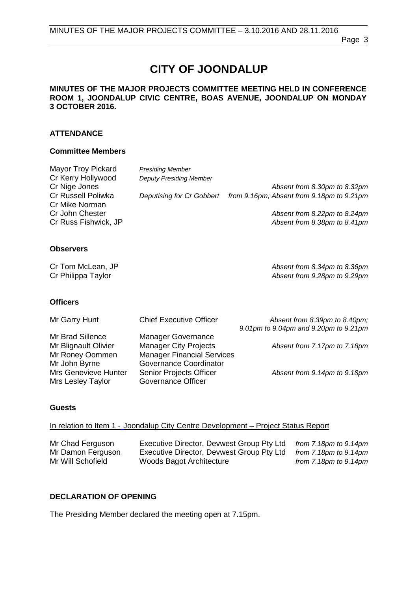# **CITY OF JOONDALUP**

### **MINUTES OF THE MAJOR PROJECTS COMMITTEE MEETING HELD IN CONFERENCE ROOM 1, JOONDALUP CIVIC CENTRE, BOAS AVENUE, JOONDALUP ON MONDAY 3 OCTOBER 2016.**

### **ATTENDANCE**

### **Committee Members**

| <b>Mayor Troy Pickard</b> | <b>Presiding Member</b>        |                                           |
|---------------------------|--------------------------------|-------------------------------------------|
| Cr Kerry Hollywood        | <b>Deputy Presiding Member</b> |                                           |
| Cr Nige Jones             |                                | Absent from 8.30pm to 8.32pm              |
| Cr Russell Poliwka        | Deputising for Cr Gobbert      | from 9.16pm; Absent from 9.18pm to 9.21pm |
| Cr Mike Norman            |                                |                                           |
| Cr John Chester           |                                | Absent from 8.22pm to 8.24pm              |
| Cr Russ Fishwick, JP      |                                | Absent from 8.38pm to 8.41pm              |

### **Observers**

Cr Tom McLean, JP *Absent from 8.34pm to 8.36pm* Absent from 9.28pm to 9.29pm

### **Officers**

| Mr Garry Hunt                                                     | <b>Chief Executive Officer</b>                                                                 | Absent from 8.39pm to 8.40pm;<br>9.01pm to 9.04pm and 9.20pm to 9.21pm |
|-------------------------------------------------------------------|------------------------------------------------------------------------------------------------|------------------------------------------------------------------------|
| Mr Brad Sillence<br>Mr Blignault Olivier<br>Mr Roney Oommen       | <b>Manager Governance</b><br><b>Manager City Projects</b><br><b>Manager Financial Services</b> | Absent from 7.17pm to 7.18pm                                           |
| Mr John Byrne<br><b>Mrs Genevieve Hunter</b><br>Mrs Lesley Taylor | Governance Coordinator<br><b>Senior Projects Officer</b><br><b>Governance Officer</b>          | Absent from 9.14pm to 9.18pm                                           |

### **Guests**

#### In relation to Item 1 - Joondalup City Centre Development – Project Status Report

| Mr Chad Ferguson  | Executive Director, Devwest Group Pty Ltd | from $7.18pm$ to $9.14pm$ |
|-------------------|-------------------------------------------|---------------------------|
| Mr Damon Ferguson | Executive Director, Devwest Group Pty Ltd | from 7.18pm to 9.14pm     |
| Mr Will Schofield | Woods Bagot Architecture                  | from $7.18pm$ to $9.14pm$ |

# <span id="page-2-0"></span>**DECLARATION OF OPENING**

The Presiding Member declared the meeting open at 7.15pm.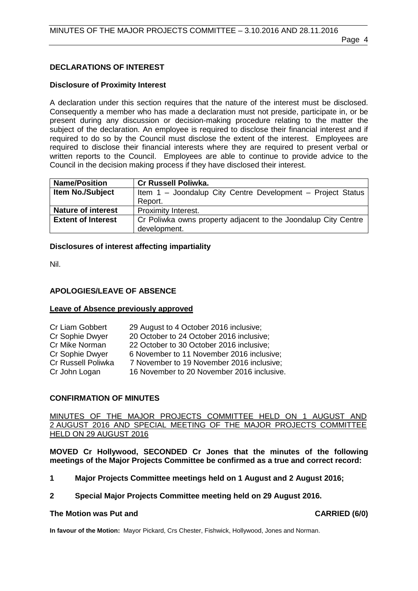# <span id="page-3-0"></span>**DECLARATIONS OF INTEREST**

# **Disclosure of Proximity Interest**

A declaration under this section requires that the nature of the interest must be disclosed. Consequently a member who has made a declaration must not preside, participate in, or be present during any discussion or decision-making procedure relating to the matter the subject of the declaration. An employee is required to disclose their financial interest and if required to do so by the Council must disclose the extent of the interest. Employees are required to disclose their financial interests where they are required to present verbal or written reports to the Council. Employees are able to continue to provide advice to the Council in the decision making process if they have disclosed their interest.

| <b>Name/Position</b>      | <b>Cr Russell Poliwka.</b>                                     |
|---------------------------|----------------------------------------------------------------|
| <b>Item No./Subject</b>   | Item 1 - Joondalup City Centre Development - Project Status    |
|                           | Report.                                                        |
| <b>Nature of interest</b> | Proximity Interest.                                            |
| <b>Extent of Interest</b> | Cr Poliwka owns property adjacent to the Joondalup City Centre |
|                           | development.                                                   |

# **Disclosures of interest affecting impartiality**

Nil.

# <span id="page-3-1"></span>**APOLOGIES/LEAVE OF ABSENCE**

# **Leave of Absence previously approved**

| Cr Liam Gobbert    | 29 August to 4 October 2016 inclusive;     |
|--------------------|--------------------------------------------|
| Cr Sophie Dwyer    | 20 October to 24 October 2016 inclusive;   |
| Cr Mike Norman     | 22 October to 30 October 2016 inclusive;   |
| Cr Sophie Dwyer    | 6 November to 11 November 2016 inclusive:  |
| Cr Russell Poliwka | 7 November to 19 November 2016 inclusive;  |
| Cr John Logan      | 16 November to 20 November 2016 inclusive. |

# <span id="page-3-2"></span>**CONFIRMATION OF MINUTES**

MINUTES OF THE MAJOR PROJECTS COMMITTEE HELD ON 1 AUGUST AND 2 AUGUST 2016 AND SPECIAL MEETING OF THE MAJOR PROJECTS COMMITTEE HELD ON 29 AUGUST 2016

**MOVED Cr Hollywood, SECONDED Cr Jones that the minutes of the following meetings of the Major Projects Committee be confirmed as a true and correct record:**

- **1 Major Projects Committee meetings held on 1 August and 2 August 2016;**
- **2 Special Major Projects Committee meeting held on 29 August 2016.**

### **The Motion was Put and CARRIED (6/0)**

**In favour of the Motion:** Mayor Pickard, Crs Chester, Fishwick, Hollywood, Jones and Norman.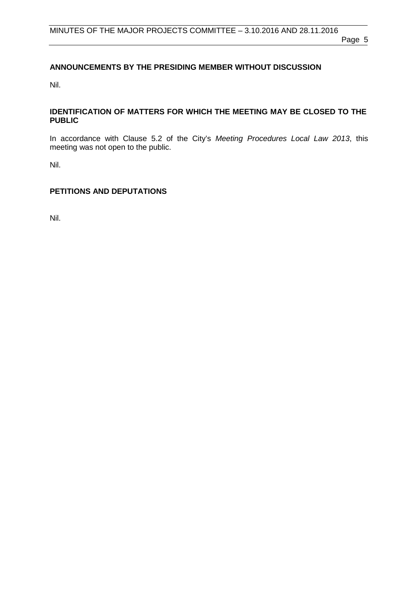# <span id="page-4-0"></span>**ANNOUNCEMENTS BY THE PRESIDING MEMBER WITHOUT DISCUSSION**

Nil.

# <span id="page-4-1"></span>**IDENTIFICATION OF MATTERS FOR WHICH THE MEETING MAY BE CLOSED TO THE PUBLIC**

In accordance with Clause 5.2 of the City's *Meeting Procedures Local Law 2013*, this meeting was not open to the public.

Nil.

# <span id="page-4-2"></span>**PETITIONS AND DEPUTATIONS**

Nil.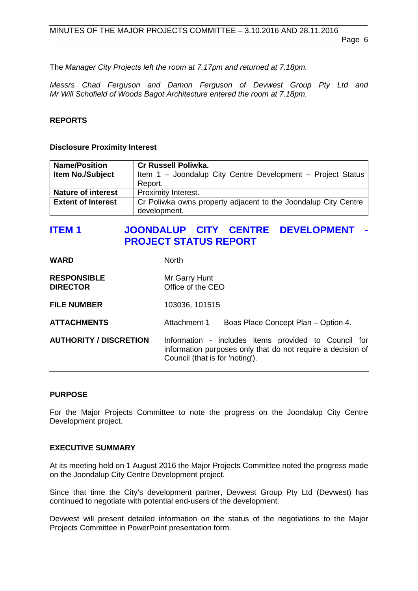The *Manager City Projects left the room at 7.17pm and returned at 7.18pm.*

*Messrs Chad Ferguson and Damon Ferguson of Devwest Group Pty Ltd and Mr Will Schofield of Woods Bagot Architecture entered the room at 7.18pm.*

### <span id="page-5-0"></span>**REPORTS**

#### **Disclosure Proximity Interest**

| <b>Name/Position</b>      | <b>Cr Russell Poliwka.</b>                                     |
|---------------------------|----------------------------------------------------------------|
| <b>Item No./Subject</b>   | Item 1 - Joondalup City Centre Development - Project Status    |
|                           | Report.                                                        |
| <b>Nature of interest</b> | Proximity Interest.                                            |
| <b>Extent of Interest</b> | Cr Poliwka owns property adjacent to the Joondalup City Centre |
|                           | development.                                                   |

# <span id="page-5-1"></span>**ITEM 1 JOONDALUP CITY CENTRE DEVELOPMENT - PROJECT STATUS REPORT**

| <b>WARD</b>                           | <b>North</b>                                                                                                                                           |  |
|---------------------------------------|--------------------------------------------------------------------------------------------------------------------------------------------------------|--|
| <b>RESPONSIBLE</b><br><b>DIRECTOR</b> | Mr Garry Hunt<br>Office of the CEO                                                                                                                     |  |
| <b>FILE NUMBER</b>                    | 103036, 101515                                                                                                                                         |  |
| <b>ATTACHMENTS</b>                    | Attachment 1<br>Boas Place Concept Plan - Option 4.                                                                                                    |  |
| <b>AUTHORITY / DISCRETION</b>         | Information - includes items provided to Council for<br>information purposes only that do not require a decision of<br>Council (that is for 'noting'). |  |

#### **PURPOSE**

For the Major Projects Committee to note the progress on the Joondalup City Centre Development project.

#### **EXECUTIVE SUMMARY**

At its meeting held on 1 August 2016 the Major Projects Committee noted the progress made on the Joondalup City Centre Development project.

Since that time the City's development partner, Devwest Group Pty Ltd (Devwest) has continued to negotiate with potential end-users of the development.

Devwest will present detailed information on the status of the negotiations to the Major Projects Committee in PowerPoint presentation form.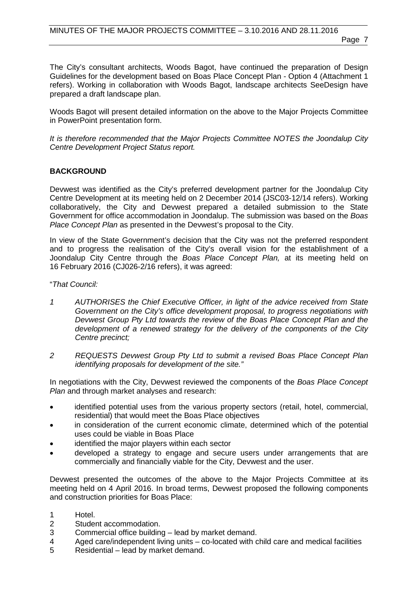The City's consultant architects, Woods Bagot, have continued the preparation of Design Guidelines for the development based on Boas Place Concept Plan - Option 4 (Attachment 1 refers). Working in collaboration with Woods Bagot, landscape architects SeeDesign have prepared a draft landscape plan.

Woods Bagot will present detailed information on the above to the Major Projects Committee in PowerPoint presentation form.

*It is therefore recommended that the Major Projects Committee NOTES the Joondalup City Centre Development Project Status report.*

# **BACKGROUND**

Devwest was identified as the City's preferred development partner for the Joondalup City Centre Development at its meeting held on 2 December 2014 (JSC03-12/14 refers). Working collaboratively, the City and Devwest prepared a detailed submission to the State Government for office accommodation in Joondalup. The submission was based on the *Boas Place Concept Plan* as presented in the Devwest's proposal to the City.

In view of the State Government's decision that the City was not the preferred respondent and to progress the realisation of the City's overall vision for the establishment of a Joondalup City Centre through the *Boas Place Concept Plan,* at its meeting held on 16 February 2016 (CJ026-2/16 refers), it was agreed:

"*That Council:*

- *1 AUTHORISES the Chief Executive Officer, in light of the advice received from State Government on the City's office development proposal, to progress negotiations with Devwest Group Pty Ltd towards the review of the Boas Place Concept Plan and the development of a renewed strategy for the delivery of the components of the City Centre precinct;*
- *2 REQUESTS Devwest Group Pty Ltd to submit a revised Boas Place Concept Plan identifying proposals for development of the site."*

In negotiations with the City, Devwest reviewed the components of the *Boas Place Concept Plan* and through market analyses and research:

- identified potential uses from the various property sectors (retail, hotel, commercial, residential) that would meet the Boas Place objectives
- in consideration of the current economic climate, determined which of the potential uses could be viable in Boas Place
- identified the major players within each sector
- developed a strategy to engage and secure users under arrangements that are commercially and financially viable for the City, Devwest and the user.

Devwest presented the outcomes of the above to the Major Projects Committee at its meeting held on 4 April 2016. In broad terms, Devwest proposed the following components and construction priorities for Boas Place:

- 1 Hotel.<br>2 Stude
- 2 Student accommodation.<br>3 Commercial office buildin
- 3 Commercial office building lead by market demand.
- Aged care/independent living units co-located with child care and medical facilities
- 5 Residential lead by market demand.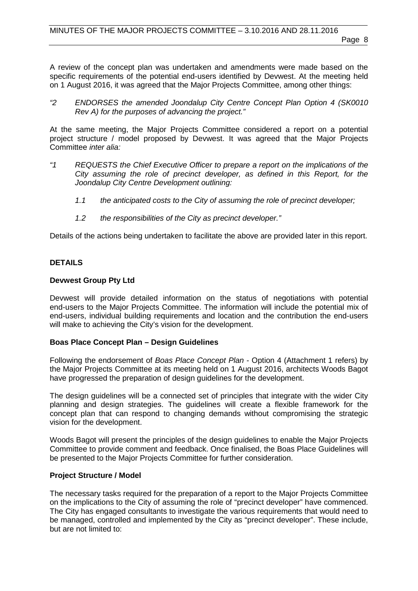A review of the concept plan was undertaken and amendments were made based on the specific requirements of the potential end-users identified by Devwest. At the meeting held on 1 August 2016, it was agreed that the Major Projects Committee, among other things:

*"2 ENDORSES the amended Joondalup City Centre Concept Plan Option 4 (SK0010 Rev A) for the purposes of advancing the project."*

At the same meeting, the Major Projects Committee considered a report on a potential project structure / model proposed by Devwest. It was agreed that the Major Projects Committee *inter alia:*

- *"1 REQUESTS the Chief Executive Officer to prepare a report on the implications of the City assuming the role of precinct developer, as defined in this Report, for the Joondalup City Centre Development outlining:*
	- *1.1 the anticipated costs to the City of assuming the role of precinct developer;*
	- *1.2 the responsibilities of the City as precinct developer."*

Details of the actions being undertaken to facilitate the above are provided later in this report.

# **DETAILS**

### **Devwest Group Pty Ltd**

Devwest will provide detailed information on the status of negotiations with potential end-users to the Major Projects Committee. The information will include the potential mix of end-users, individual building requirements and location and the contribution the end-users will make to achieving the City's vision for the development.

### **Boas Place Concept Plan – Design Guidelines**

Following the endorsement of *Boas Place Concept Plan* - Option 4 (Attachment 1 refers) by the Major Projects Committee at its meeting held on 1 August 2016, architects Woods Bagot have progressed the preparation of design guidelines for the development.

The design guidelines will be a connected set of principles that integrate with the wider City planning and design strategies. The guidelines will create a flexible framework for the concept plan that can respond to changing demands without compromising the strategic vision for the development.

Woods Bagot will present the principles of the design guidelines to enable the Major Projects Committee to provide comment and feedback. Once finalised, the Boas Place Guidelines will be presented to the Major Projects Committee for further consideration.

# **Project Structure / Model**

The necessary tasks required for the preparation of a report to the Major Projects Committee on the implications to the City of assuming the role of "precinct developer" have commenced. The City has engaged consultants to investigate the various requirements that would need to be managed, controlled and implemented by the City as "precinct developer". These include, but are not limited to: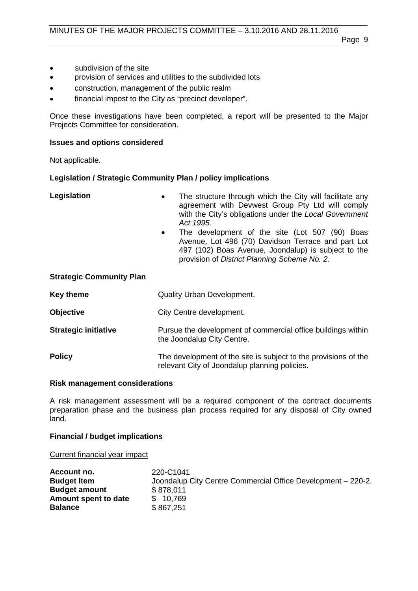- subdivision of the site
- provision of services and utilities to the subdivided lots
- construction, management of the public realm
- financial impost to the City as "precinct developer".

Once these investigations have been completed, a report will be presented to the Major Projects Committee for consideration.

#### **Issues and options considered**

Not applicable.

#### **Legislation / Strategic Community Plan / policy implications**

- **Legislation** The structure through which the City will facilitate any agreement with Devwest Group Pty Ltd will comply with the City's obligations under the *Local Government Act 1995.*
	- The development of the site (Lot 507 (90) Boas Avenue, Lot 496 (70) Davidson Terrace and part Lot 497 (102) Boas Avenue, Joondalup) is subject to the provision of *District Planning Scheme No. 2.*

### **Strategic Community Plan**

| Key theme                   | <b>Quality Urban Development.</b>                                                                                |
|-----------------------------|------------------------------------------------------------------------------------------------------------------|
| <b>Objective</b>            | City Centre development.                                                                                         |
| <b>Strategic initiative</b> | Pursue the development of commercial office buildings within<br>the Joondalup City Centre.                       |
| <b>Policy</b>               | The development of the site is subject to the provisions of the<br>relevant City of Joondalup planning policies. |

#### **Risk management considerations**

A risk management assessment will be a required component of the contract documents preparation phase and the business plan process required for any disposal of City owned land.

### **Financial / budget implications**

Current financial year impact

| Account no.          | 220-C1041                                                    |
|----------------------|--------------------------------------------------------------|
| <b>Budget Item</b>   | Joondalup City Centre Commercial Office Development - 220-2. |
| <b>Budget amount</b> | \$878,011                                                    |
| Amount spent to date | \$10,769                                                     |
| <b>Balance</b>       | \$867,251                                                    |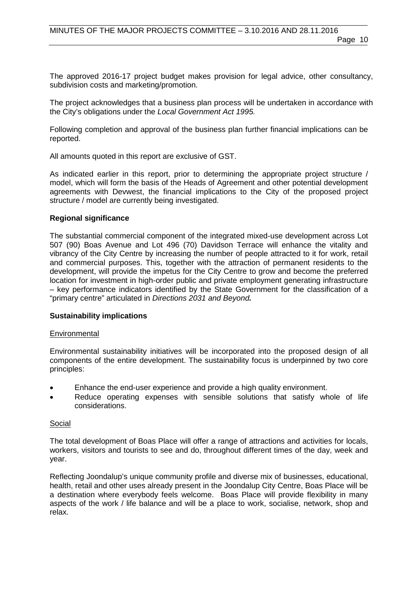The approved 2016-17 project budget makes provision for legal advice, other consultancy, subdivision costs and marketing/promotion.

The project acknowledges that a business plan process will be undertaken in accordance with the City's obligations under the *Local Government Act 1995.*

Following completion and approval of the business plan further financial implications can be reported.

All amounts quoted in this report are exclusive of GST.

As indicated earlier in this report, prior to determining the appropriate project structure / model, which will form the basis of the Heads of Agreement and other potential development agreements with Devwest, the financial implications to the City of the proposed project structure / model are currently being investigated.

### **Regional significance**

The substantial commercial component of the integrated mixed-use development across Lot 507 (90) Boas Avenue and Lot 496 (70) Davidson Terrace will enhance the vitality and vibrancy of the City Centre by increasing the number of people attracted to it for work, retail and commercial purposes. This, together with the attraction of permanent residents to the development, will provide the impetus for the City Centre to grow and become the preferred location for investment in high-order public and private employment generating infrastructure – key performance indicators identified by the State Government for the classification of a "primary centre" articulated in *Directions 2031 and Beyond.*

### **Sustainability implications**

### **Environmental**

Environmental sustainability initiatives will be incorporated into the proposed design of all components of the entire development. The sustainability focus is underpinned by two core principles:

- Enhance the end-user experience and provide a high quality environment.
- Reduce operating expenses with sensible solutions that satisfy whole of life considerations.

### Social

The total development of Boas Place will offer a range of attractions and activities for locals, workers, visitors and tourists to see and do, throughout different times of the day, week and year.

Reflecting Joondalup's unique community profile and diverse mix of businesses, educational, health, retail and other uses already present in the Joondalup City Centre, Boas Place will be a destination where everybody feels welcome. Boas Place will provide flexibility in many aspects of the work / life balance and will be a place to work, socialise, network, shop and relax.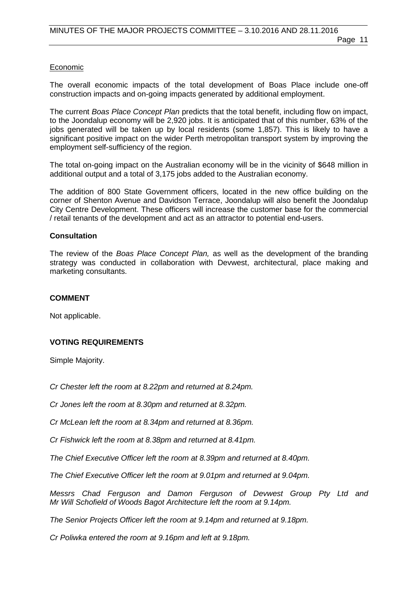# Economic

The overall economic impacts of the total development of Boas Place include one-off construction impacts and on-going impacts generated by additional employment.

The current *Boas Place Concept Plan* predicts that the total benefit, including flow on impact, to the Joondalup economy will be 2,920 jobs. It is anticipated that of this number, 63% of the jobs generated will be taken up by local residents (some 1,857). This is likely to have a significant positive impact on the wider Perth metropolitan transport system by improving the employment self-sufficiency of the region.

The total on-going impact on the Australian economy will be in the vicinity of \$648 million in additional output and a total of 3,175 jobs added to the Australian economy.

The addition of 800 State Government officers, located in the new office building on the corner of Shenton Avenue and Davidson Terrace, Joondalup will also benefit the Joondalup City Centre Development. These officers will increase the customer base for the commercial / retail tenants of the development and act as an attractor to potential end-users.

# **Consultation**

The review of the *Boas Place Concept Plan,* as well as the development of the branding strategy was conducted in collaboration with Devwest, architectural, place making and marketing consultants.

### **COMMENT**

Not applicable.

# **VOTING REQUIREMENTS**

Simple Majority.

*Cr Chester left the room at 8.22pm and returned at 8.24pm.*

*Cr Jones left the room at 8.30pm and returned at 8.32pm.*

*Cr McLean left the room at 8.34pm and returned at 8.36pm.*

*Cr Fishwick left the room at 8.38pm and returned at 8.41pm.*

*The Chief Executive Officer left the room at 8.39pm and returned at 8.40pm.*

*The Chief Executive Officer left the room at 9.01pm and returned at 9.04pm.*

*Messrs Chad Ferguson and Damon Ferguson of Devwest Group Pty Ltd and Mr Will Schofield of Woods Bagot Architecture left the room at 9.14pm.*

*The Senior Projects Officer left the room at 9.14pm and returned at 9.18pm.*

*Cr Poliwka entered the room at 9.16pm and left at 9.18pm.*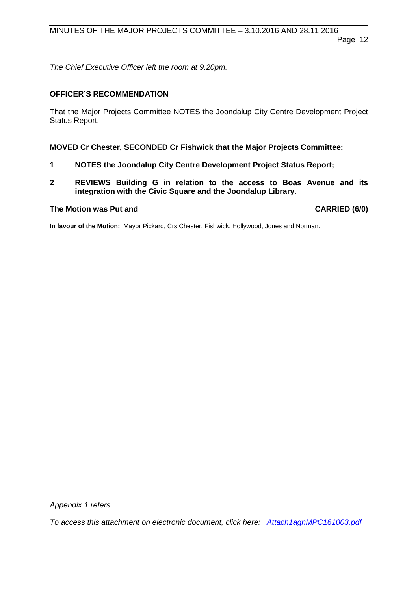*The Chief Executive Officer left the room at 9.20pm.*

### **OFFICER'S RECOMMENDATION**

That the Major Projects Committee NOTES the Joondalup City Centre Development Project Status Report.

### **MOVED Cr Chester, SECONDED Cr Fishwick that the Major Projects Committee:**

- **1 NOTES the Joondalup City Centre Development Project Status Report;**
- **2 REVIEWS Building G in relation to the access to Boas Avenue and its integration with the Civic Square and the Joondalup Library.**

### **The Motion was Put and CARRIED (6/0)**

**In favour of the Motion:** Mayor Pickard, Crs Chester, Fishwick, Hollywood, Jones and Norman.

*Appendix 1 refers*

*[To access this attachment on electronic document, click here: Attach1agnMPC161003.pdf](http://www.joondalup.wa.gov.au/files/committees/MAPC/2016/Attach1agnMPC161003.pdf)*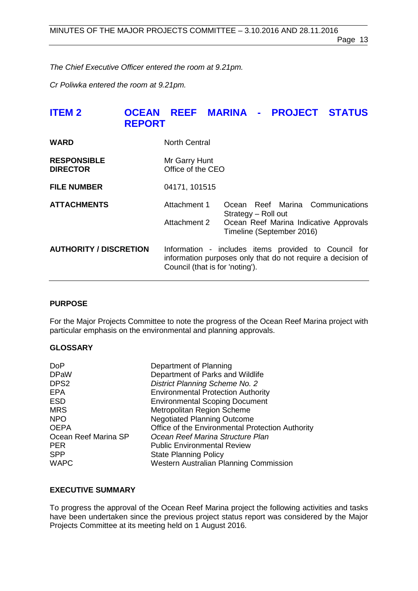Page 13

*The Chief Executive Officer entered the room at 9.21pm.*

*Cr Poliwka entered the room at 9.21pm.*

# <span id="page-12-0"></span>**ITEM 2 OCEAN REEF MARINA - PROJECT STATUS REPORT**

| <b>WARD</b>                           | <b>North Central</b>                                                                                                                                   |                           |  |                                        |
|---------------------------------------|--------------------------------------------------------------------------------------------------------------------------------------------------------|---------------------------|--|----------------------------------------|
| <b>RESPONSIBLE</b><br><b>DIRECTOR</b> | Mr Garry Hunt<br>Office of the CEO                                                                                                                     |                           |  |                                        |
| <b>FILE NUMBER</b>                    | 04171, 101515                                                                                                                                          |                           |  |                                        |
| <b>ATTACHMENTS</b>                    | Attachment 1                                                                                                                                           | Strategy - Roll out       |  | Ocean Reef Marina Communications       |
|                                       | Attachment 2                                                                                                                                           | Timeline (September 2016) |  | Ocean Reef Marina Indicative Approvals |
| <b>AUTHORITY / DISCRETION</b>         | Information - includes items provided to Council for<br>information purposes only that do not require a decision of<br>Council (that is for 'noting'). |                           |  |                                        |

# **PURPOSE**

For the Major Projects Committee to note the progress of the Ocean Reef Marina project with particular emphasis on the environmental and planning approvals.

# **GLOSSARY**

| Department of Planning                           |
|--------------------------------------------------|
| Department of Parks and Wildlife                 |
| <b>District Planning Scheme No. 2</b>            |
| <b>Environmental Protection Authority</b>        |
| <b>Environmental Scoping Document</b>            |
| Metropolitan Region Scheme                       |
| <b>Negotiated Planning Outcome</b>               |
| Office of the Environmental Protection Authority |
| Ocean Reef Marina Structure Plan                 |
| <b>Public Environmental Review</b>               |
| <b>State Planning Policy</b>                     |
| <b>Western Australian Planning Commission</b>    |
|                                                  |

# **EXECUTIVE SUMMARY**

To progress the approval of the Ocean Reef Marina project the following activities and tasks have been undertaken since the previous project status report was considered by the Major Projects Committee at its meeting held on 1 August 2016.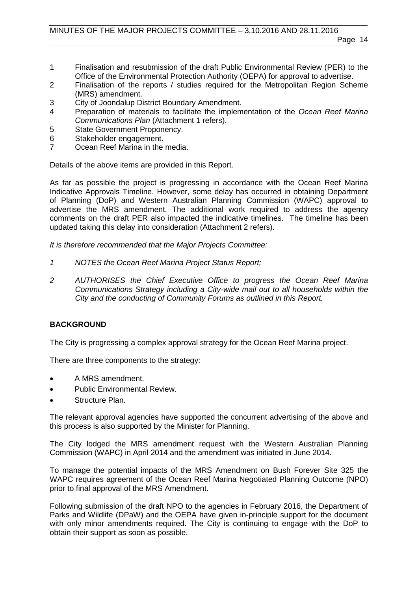- 1 Finalisation and resubmission of the draft Public Environmental Review (PER) to the Office of the Environmental Protection Authority (OEPA) for approval to advertise.
- 2 Finalisation of the reports / studies required for the Metropolitan Region Scheme (MRS) amendment.
- 3 City of Joondalup District Boundary Amendment.
- 4 Preparation of materials to facilitate the implementation of the *Ocean Reef Marina Communications Plan* (Attachment 1 refers).
- 5 State Government Proponency.<br>6 Stakeholder engagement.
- 6 Stakeholder engagement.<br>7 Ocean Reef Marina in the
- Ocean Reef Marina in the media.

Details of the above items are provided in this Report.

As far as possible the project is progressing in accordance with the Ocean Reef Marina Indicative Approvals Timeline. However, some delay has occurred in obtaining Department of Planning (DoP) and Western Australian Planning Commission (WAPC) approval to advertise the MRS amendment. The additional work required to address the agency comments on the draft PER also impacted the indicative timelines. The timeline has been updated taking this delay into consideration (Attachment 2 refers).

*It is therefore recommended that the Major Projects Committee:*

- *1 NOTES the Ocean Reef Marina Project Status Report;*
- *2 AUTHORISES the Chief Executive Office to progress the Ocean Reef Marina Communications Strategy including a City-wide mail out to all households within the City and the conducting of Community Forums as outlined in this Report.*

# **BACKGROUND**

The City is progressing a complex approval strategy for the Ocean Reef Marina project.

There are three components to the strategy:

- A MRS amendment.
- Public Environmental Review.
- Structure Plan.

The relevant approval agencies have supported the concurrent advertising of the above and this process is also supported by the Minister for Planning.

The City lodged the MRS amendment request with the Western Australian Planning Commission (WAPC) in April 2014 and the amendment was initiated in June 2014.

To manage the potential impacts of the MRS Amendment on Bush Forever Site 325 the WAPC requires agreement of the Ocean Reef Marina Negotiated Planning Outcome (NPO) prior to final approval of the MRS Amendment.

Following submission of the draft NPO to the agencies in February 2016, the Department of Parks and Wildlife (DPaW) and the OEPA have given in-principle support for the document with only minor amendments required. The City is continuing to engage with the DoP to obtain their support as soon as possible.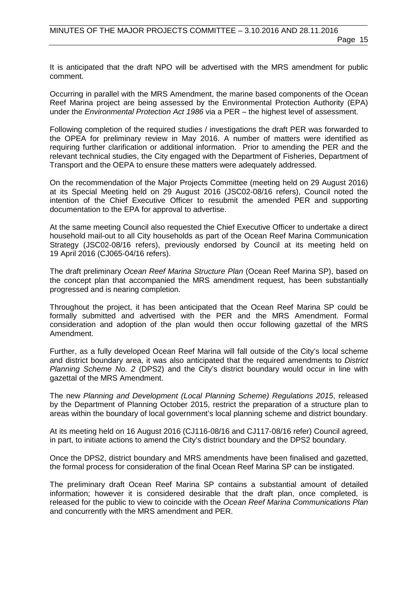It is anticipated that the draft NPO will be advertised with the MRS amendment for public comment.

Occurring in parallel with the MRS Amendment, the marine based components of the Ocean Reef Marina project are being assessed by the Environmental Protection Authority (EPA) under the *Environmental Protection Act 1986* via a PER – the highest level of assessment.

Following completion of the required studies / investigations the draft PER was forwarded to the OPEA for preliminary review in May 2016. A number of matters were identified as requiring further clarification or additional information. Prior to amending the PER and the relevant technical studies, the City engaged with the Department of Fisheries, Department of Transport and the OEPA to ensure these matters were adequately addressed.

On the recommendation of the Major Projects Committee (meeting held on 29 August 2016) at its Special Meeting held on 29 August 2016 (JSC02-08/16 refers), Council noted the intention of the Chief Executive Officer to resubmit the amended PER and supporting documentation to the EPA for approval to advertise.

At the same meeting Council also requested the Chief Executive Officer to undertake a direct household mail-out to all City households as part of the Ocean Reef Marina Communication Strategy (JSC02-08/16 refers), previously endorsed by Council at its meeting held on 19 April 2016 (CJ065-04/16 refers).

The draft preliminary *Ocean Reef Marina Structure Plan* (Ocean Reef Marina SP), based on the concept plan that accompanied the MRS amendment request, has been substantially progressed and is nearing completion.

Throughout the project, it has been anticipated that the Ocean Reef Marina SP could be formally submitted and advertised with the PER and the MRS Amendment. Formal consideration and adoption of the plan would then occur following gazettal of the MRS Amendment.

Further, as a fully developed Ocean Reef Marina will fall outside of the City's local scheme and district boundary area, it was also anticipated that the required amendments to *District Planning Scheme No. 2* (DPS2) and the City's district boundary would occur in line with gazettal of the MRS Amendment.

The new *Planning and Development (Local Planning Scheme) Regulations 2015*, released by the Department of Planning October 2015, restrict the preparation of a structure plan to areas within the boundary of local government's local planning scheme and district boundary.

At its meeting held on 16 August 2016 (CJ116-08/16 and CJ117-08/16 refer) Council agreed, in part, to initiate actions to amend the City's district boundary and the DPS2 boundary.

Once the DPS2, district boundary and MRS amendments have been finalised and gazetted, the formal process for consideration of the final Ocean Reef Marina SP can be instigated.

The preliminary draft Ocean Reef Marina SP contains a substantial amount of detailed information; however it is considered desirable that the draft plan, once completed, is released for the public to view to coincide with the *Ocean Reef Marina Communications Plan* and concurrently with the MRS amendment and PER.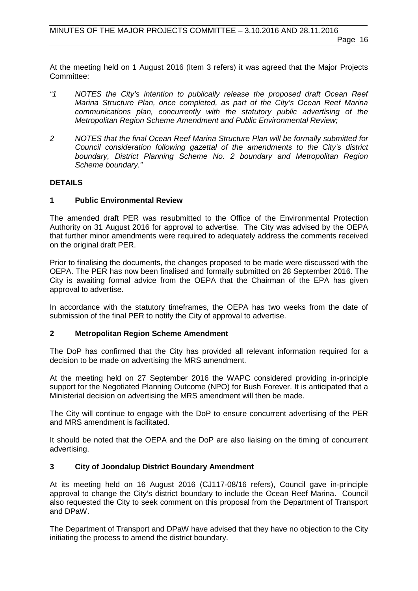At the meeting held on 1 August 2016 (Item 3 refers) it was agreed that the Major Projects Committee:

- *"1 NOTES the City's intention to publically release the proposed draft Ocean Reef Marina Structure Plan, once completed, as part of the City's Ocean Reef Marina communications plan, concurrently with the statutory public advertising of the Metropolitan Region Scheme Amendment and Public Environmental Review;*
- *2 NOTES that the final Ocean Reef Marina Structure Plan will be formally submitted for Council consideration following gazettal of the amendments to the City's district boundary, District Planning Scheme No. 2 boundary and Metropolitan Region Scheme boundary."*

# **DETAILS**

# **1 Public Environmental Review**

The amended draft PER was resubmitted to the Office of the Environmental Protection Authority on 31 August 2016 for approval to advertise. The City was advised by the OEPA that further minor amendments were required to adequately address the comments received on the original draft PER.

Prior to finalising the documents, the changes proposed to be made were discussed with the OEPA. The PER has now been finalised and formally submitted on 28 September 2016. The City is awaiting formal advice from the OEPA that the Chairman of the EPA has given approval to advertise.

In accordance with the statutory timeframes, the OEPA has two weeks from the date of submission of the final PER to notify the City of approval to advertise.

# **2 Metropolitan Region Scheme Amendment**

The DoP has confirmed that the City has provided all relevant information required for a decision to be made on advertising the MRS amendment.

At the meeting held on 27 September 2016 the WAPC considered providing in-principle support for the Negotiated Planning Outcome (NPO) for Bush Forever. It is anticipated that a Ministerial decision on advertising the MRS amendment will then be made.

The City will continue to engage with the DoP to ensure concurrent advertising of the PER and MRS amendment is facilitated.

It should be noted that the OEPA and the DoP are also liaising on the timing of concurrent advertising.

# **3 City of Joondalup District Boundary Amendment**

At its meeting held on 16 August 2016 (CJ117-08/16 refers), Council gave in-principle approval to change the City's district boundary to include the Ocean Reef Marina. Council also requested the City to seek comment on this proposal from the Department of Transport and DPaW.

The Department of Transport and DPaW have advised that they have no objection to the City initiating the process to amend the district boundary.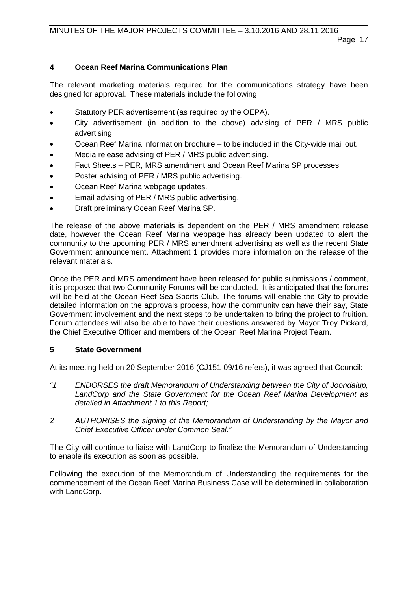# **4 Ocean Reef Marina Communications Plan**

The relevant marketing materials required for the communications strategy have been designed for approval. These materials include the following:

- Statutory PER advertisement (as required by the OEPA).
- City advertisement (in addition to the above) advising of PER / MRS public advertising.
- Ocean Reef Marina information brochure to be included in the City-wide mail out.
- Media release advising of PER / MRS public advertising.
- Fact Sheets PER, MRS amendment and Ocean Reef Marina SP processes.
- Poster advising of PER / MRS public advertising.
- Ocean Reef Marina webpage updates.
- Email advising of PER / MRS public advertising.
- Draft preliminary Ocean Reef Marina SP.

The release of the above materials is dependent on the PER / MRS amendment release date, however the Ocean Reef Marina webpage has already been updated to alert the community to the upcoming PER / MRS amendment advertising as well as the recent State Government announcement. Attachment 1 provides more information on the release of the relevant materials.

Once the PER and MRS amendment have been released for public submissions / comment, it is proposed that two Community Forums will be conducted. It is anticipated that the forums will be held at the Ocean Reef Sea Sports Club. The forums will enable the City to provide detailed information on the approvals process, how the community can have their say, State Government involvement and the next steps to be undertaken to bring the project to fruition. Forum attendees will also be able to have their questions answered by Mayor Troy Pickard, the Chief Executive Officer and members of the Ocean Reef Marina Project Team.

# **5 State Government**

At its meeting held on 20 September 2016 (CJ151-09/16 refers), it was agreed that Council:

- *"1 ENDORSES the draft Memorandum of Understanding between the City of Joondalup, LandCorp and the State Government for the Ocean Reef Marina Development as detailed in Attachment 1 to this Report;*
- *2 AUTHORISES the signing of the Memorandum of Understanding by the Mayor and Chief Executive Officer under Common Seal."*

The City will continue to liaise with LandCorp to finalise the Memorandum of Understanding to enable its execution as soon as possible.

Following the execution of the Memorandum of Understanding the requirements for the commencement of the Ocean Reef Marina Business Case will be determined in collaboration with LandCorp.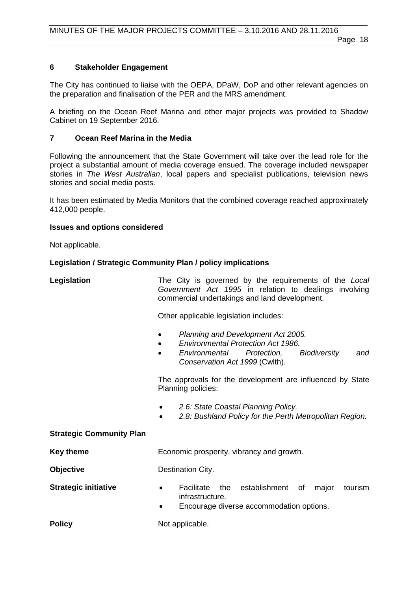# **6 Stakeholder Engagement**

The City has continued to liaise with the OEPA, DPaW, DoP and other relevant agencies on the preparation and finalisation of the PER and the MRS amendment.

A briefing on the Ocean Reef Marina and other major projects was provided to Shadow Cabinet on 19 September 2016.

# **7 Ocean Reef Marina in the Media**

Following the announcement that the State Government will take over the lead role for the project a substantial amount of media coverage ensued. The coverage included newspaper stories in *The West Australian*, local papers and specialist publications, television news stories and social media posts.

It has been estimated by Media Monitors that the combined coverage reached approximately 412,000 people.

# **Issues and options considered**

Not applicable.

# **Legislation / Strategic Community Plan / policy implications**

| Legislation |                                               |  |  |  |  |  | The City is governed by the requirements of the Local |
|-------------|-----------------------------------------------|--|--|--|--|--|-------------------------------------------------------|
|             |                                               |  |  |  |  |  | Government Act 1995 in relation to dealings involving |
|             | commercial undertakings and land development. |  |  |  |  |  |                                                       |

Other applicable legislation includes:

- *Planning and Development Act 2005.*
- *Environmental Protection Act 1986.*
- *Environmental Protection, Biodiversity and Conservation Act 1999* (Cwlth).

The approvals for the development are influenced by State Planning policies:

- *2.6: State Coastal Planning Policy.*
- *2.8: Bushland Policy for the Perth Metropolitan Region.*

# **Strategic Community Plan**

**Key theme Economic prosperity, vibrancy and growth.** 

**Objective** Destination City.

- **Strategic initiative •** Facilitate the establishment of major tourism infrastructure.
	- Encourage diverse accommodation options.

**Policy** Not applicable.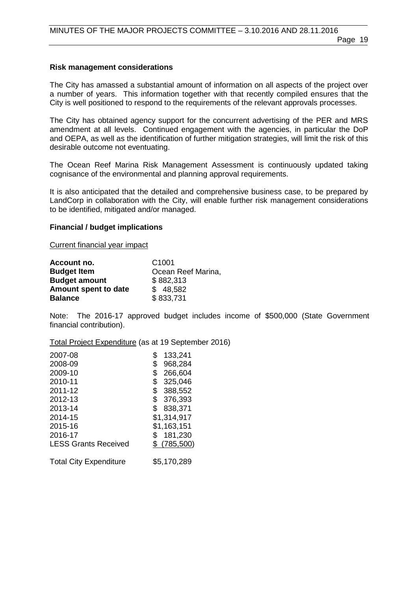# **Risk management considerations**

The City has amassed a substantial amount of information on all aspects of the project over a number of years. This information together with that recently compiled ensures that the City is well positioned to respond to the requirements of the relevant approvals processes.

The City has obtained agency support for the concurrent advertising of the PER and MRS amendment at all levels. Continued engagement with the agencies, in particular the DoP and OEPA, as well as the identification of further mitigation strategies, will limit the risk of this desirable outcome not eventuating.

The Ocean Reef Marina Risk Management Assessment is continuously updated taking cognisance of the environmental and planning approval requirements.

It is also anticipated that the detailed and comprehensive business case, to be prepared by LandCorp in collaboration with the City, will enable further risk management considerations to be identified, mitigated and/or managed.

# **Financial / budget implications**

Current financial year impact

| Account no.          | C <sub>1001</sub>  |
|----------------------|--------------------|
| <b>Budget Item</b>   | Ocean Reef Marina, |
| <b>Budget amount</b> | \$882,313          |
| Amount spent to date | \$48,582           |
| <b>Balance</b>       | \$833,731          |

Note: The 2016-17 approved budget includes income of \$500,000 (State Government financial contribution).

Total Project Expenditure (as at 19 September 2016)

| 133,241     |
|-------------|
| 968,284     |
| 266,604     |
| 325,046     |
| 388,552     |
| 376,393     |
| 838,371     |
| \$1,314,917 |
| \$1,163,151 |
| 181,230     |
| \$(785,500) |
|             |
|             |

Total City Expenditure \$5,170,289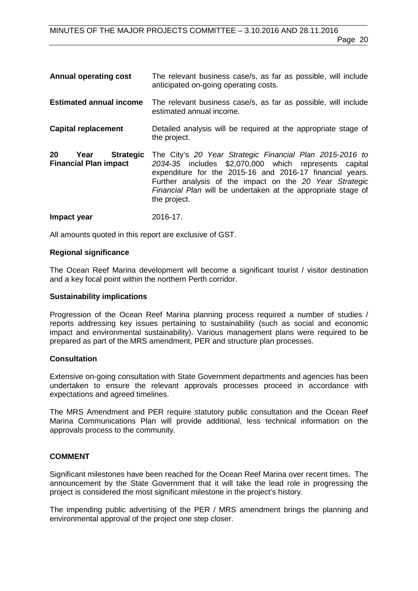| <b>Annual operating cost</b>                                   | The relevant business case/s, as far as possible, will include<br>anticipated on-going operating costs.                                                                                                                                                                                                                   |
|----------------------------------------------------------------|---------------------------------------------------------------------------------------------------------------------------------------------------------------------------------------------------------------------------------------------------------------------------------------------------------------------------|
| <b>Estimated annual income</b>                                 | The relevant business case/s, as far as possible, will include<br>estimated annual income.                                                                                                                                                                                                                                |
| <b>Capital replacement</b>                                     | Detailed analysis will be required at the appropriate stage of<br>the project.                                                                                                                                                                                                                                            |
| 20<br><b>Strategic</b><br>Year<br><b>Financial Plan impact</b> | The City's 20 Year Strategic Financial Plan 2015-2016 to<br>2034-35 includes \$2,070,000 which represents capital<br>expenditure for the 2015-16 and 2016-17 financial years.<br>Further analysis of the impact on the 20 Year Strategic<br>Financial Plan will be undertaken at the appropriate stage of<br>the project. |
| Impact year                                                    | 2016-17.                                                                                                                                                                                                                                                                                                                  |

All amounts quoted in this report are exclusive of GST.

### **Regional significance**

The Ocean Reef Marina development will become a significant tourist / visitor destination and a key focal point within the northern Perth corridor.

### **Sustainability implications**

Progression of the Ocean Reef Marina planning process required a number of studies / reports addressing key issues pertaining to sustainability (such as social and economic impact and environmental sustainability). Various management plans were required to be prepared as part of the MRS amendment, PER and structure plan processes.

# **Consultation**

Extensive on-going consultation with State Government departments and agencies has been undertaken to ensure the relevant approvals processes proceed in accordance with expectations and agreed timelines.

The MRS Amendment and PER require statutory public consultation and the Ocean Reef Marina Communications Plan will provide additional, less technical information on the approvals process to the community.

# **COMMENT**

Significant milestones have been reached for the Ocean Reef Marina over recent times. The announcement by the State Government that it will take the lead role in progressing the project is considered the most significant milestone in the project's history.

The impending public advertising of the PER / MRS amendment brings the planning and environmental approval of the project one step closer.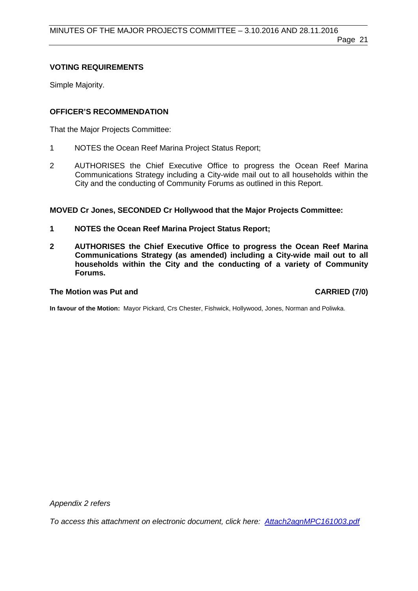### Page 21

# **VOTING REQUIREMENTS**

Simple Majority.

# **OFFICER'S RECOMMENDATION**

That the Major Projects Committee:

- 1 NOTES the Ocean Reef Marina Project Status Report;
- 2 AUTHORISES the Chief Executive Office to progress the Ocean Reef Marina Communications Strategy including a City-wide mail out to all households within the City and the conducting of Community Forums as outlined in this Report.

**MOVED Cr Jones, SECONDED Cr Hollywood that the Major Projects Committee:**

- **1 NOTES the Ocean Reef Marina Project Status Report;**
- **2 AUTHORISES the Chief Executive Office to progress the Ocean Reef Marina Communications Strategy (as amended) including a City-wide mail out to all households within the City and the conducting of a variety of Community Forums.**

### **The Motion was Put and CARRIED (7/0)**

**In favour of the Motion:** Mayor Pickard, Crs Chester, Fishwick, Hollywood, Jones, Norman and Poliwka.

*Appendix 2 refers*

*[To access this attachment on electronic document, click here: Attach2agnMPC161003.pdf](http://www.joondalup.wa.gov.au/files/committees/MAPC/2016/Attach2agnMPC161003.pdf)*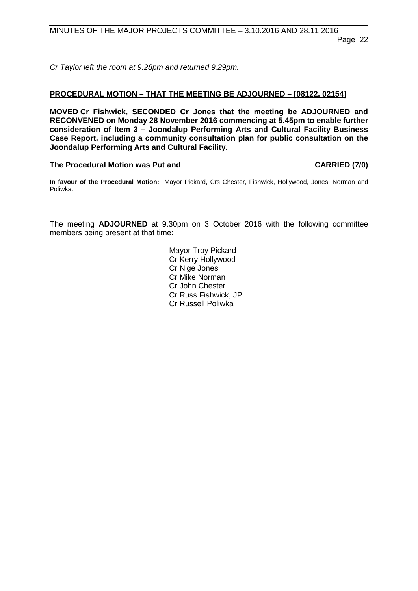*Cr Taylor left the room at 9.28pm and returned 9.29pm.*

### <span id="page-21-0"></span>**PROCEDURAL MOTION – THAT THE MEETING BE ADJOURNED – [08122, 02154]**

**MOVED Cr Fishwick, SECONDED Cr Jones that the meeting be ADJOURNED and RECONVENED on Monday 28 November 2016 commencing at 5.45pm to enable further consideration of Item 3 – Joondalup Performing Arts and Cultural Facility Business Case Report, including a community consultation plan for public consultation on the Joondalup Performing Arts and Cultural Facility.**

### The Procedural Motion was Put and **CARRIED** (7/0)

**In favour of the Procedural Motion:** Mayor Pickard, Crs Chester, Fishwick, Hollywood, Jones, Norman and Poliwka.

The meeting **ADJOURNED** at 9.30pm on 3 October 2016 with the following committee members being present at that time:

> Mayor Troy Pickard Cr Kerry Hollywood Cr Nige Jones Cr Mike Norman Cr John Chester Cr Russ Fishwick, JP Cr Russell Poliwka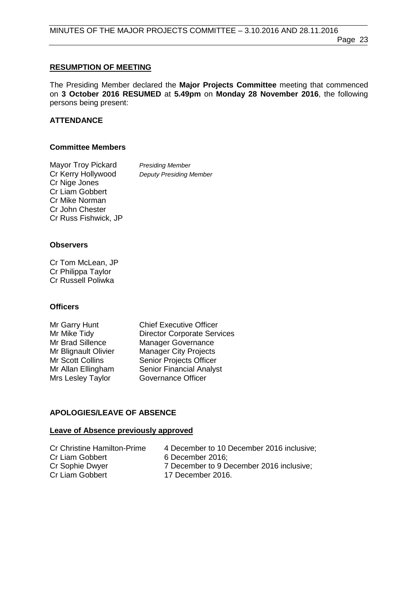# <span id="page-22-0"></span>**RESUMPTION OF MEETING**

The Presiding Member declared the **Major Projects Committee** meeting that commenced on **3 October 2016 RESUMED** at **5.49pm** on **Monday 28 November 2016**, the following persons being present:

# **ATTENDANCE**

# **Committee Members**

| <b>Mayor Troy Pickard</b> | <b>Presiding Member</b>        |
|---------------------------|--------------------------------|
| Cr Kerry Hollywood        | <b>Deputy Presiding Member</b> |
| Cr Nige Jones             |                                |
| Cr Liam Gobbert           |                                |
| Cr Mike Norman            |                                |
| Cr John Chester           |                                |
| Cr Russ Fishwick, JP      |                                |

# **Observers**

Cr Tom McLean, JP Cr Philippa Taylor Cr Russell Poliwka

# **Officers**

| Mr Garry Hunt        | <b>Chief Executive Officer</b>     |
|----------------------|------------------------------------|
| Mr Mike Tidy         | <b>Director Corporate Services</b> |
| Mr Brad Sillence     | <b>Manager Governance</b>          |
| Mr Blignault Olivier | <b>Manager City Projects</b>       |
| Mr Scott Collins     | Senior Projects Officer            |
| Mr Allan Ellingham   | <b>Senior Financial Analyst</b>    |
| Mrs Lesley Taylor    | <b>Governance Officer</b>          |
|                      |                                    |

# **APOLOGIES/LEAVE OF ABSENCE**

# **Leave of Absence previously approved**

| <b>Cr Christine Hamilton-Prime</b> | 4 December to 10 December 2016 inclusive: |
|------------------------------------|-------------------------------------------|
| Cr Liam Gobbert                    | 6 December 2016:                          |
| Cr Sophie Dwyer                    | 7 December to 9 December 2016 inclusive:  |
| Cr Liam Gobbert                    | 17 December 2016.                         |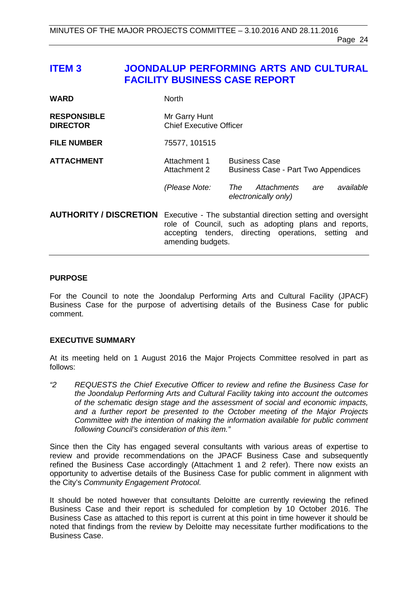# <span id="page-23-0"></span>**ITEM 3 JOONDALUP PERFORMING ARTS AND CULTURAL FACILITY BUSINESS CASE REPORT**

| WARD                                  | <b>North</b>                                    |                                                                                                                                                                                                              |  |
|---------------------------------------|-------------------------------------------------|--------------------------------------------------------------------------------------------------------------------------------------------------------------------------------------------------------------|--|
| <b>RESPONSIBLE</b><br><b>DIRECTOR</b> | Mr Garry Hunt<br><b>Chief Executive Officer</b> |                                                                                                                                                                                                              |  |
| <b>FILE NUMBER</b>                    | 75577, 101515                                   |                                                                                                                                                                                                              |  |
| <b>ATTACHMENT</b>                     | Attachment 1<br>Attachment 2                    | <b>Business Case</b><br><b>Business Case - Part Two Appendices</b>                                                                                                                                           |  |
|                                       | (Please Note:                                   | Attachments<br>available<br>The<br>are<br>electronically only)                                                                                                                                               |  |
|                                       |                                                 | <b>AUTHORITY / DISCRETION</b> Executive - The substantial direction setting and oversight<br>role of Council, such as adopting plans and reports,<br>accepting tenders, directing operations, setting<br>and |  |

### **PURPOSE**

For the Council to note the Joondalup Performing Arts and Cultural Facility (JPACF) Business Case for the purpose of advertising details of the Business Case for public comment.

amending budgets.

# **EXECUTIVE SUMMARY**

At its meeting held on 1 August 2016 the Major Projects Committee resolved in part as follows:

*"2 REQUESTS the Chief Executive Officer to review and refine the Business Case for the Joondalup Performing Arts and Cultural Facility taking into account the outcomes of the schematic design stage and the assessment of social and economic impacts, and a further report be presented to the October meeting of the Major Projects Committee with the intention of making the information available for public comment following Council's consideration of this item."*

Since then the City has engaged several consultants with various areas of expertise to review and provide recommendations on the JPACF Business Case and subsequently refined the Business Case accordingly (Attachment 1 and 2 refer). There now exists an opportunity to advertise details of the Business Case for public comment in alignment with the City's *Community Engagement Protocol.* 

It should be noted however that consultants Deloitte are currently reviewing the refined Business Case and their report is scheduled for completion by 10 October 2016. The Business Case as attached to this report is current at this point in time however it should be noted that findings from the review by Deloitte may necessitate further modifications to the Business Case.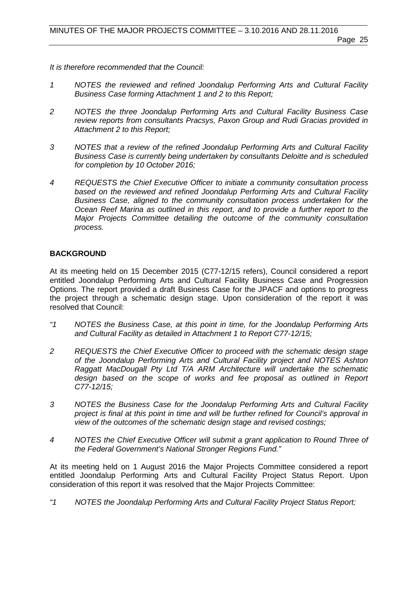*It is therefore recommended that the Council:*

- *1 NOTES the reviewed and refined Joondalup Performing Arts and Cultural Facility Business Case forming Attachment 1 and 2 to this Report;*
- *2 NOTES the three Joondalup Performing Arts and Cultural Facility Business Case review reports from consultants Pracsys, Paxon Group and Rudi Gracias provided in Attachment 2 to this Report;*
- *3 NOTES that a review of the refined Joondalup Performing Arts and Cultural Facility Business Case is currently being undertaken by consultants Deloitte and is scheduled for completion by 10 October 2016;*
- *4 REQUESTS the Chief Executive Officer to initiate a community consultation process based on the reviewed and refined Joondalup Performing Arts and Cultural Facility Business Case, aligned to the community consultation process undertaken for the Ocean Reef Marina as outlined in this report, and to provide a further report to the Major Projects Committee detailing the outcome of the community consultation process.*

# **BACKGROUND**

At its meeting held on 15 December 2015 (C77-12/15 refers), Council considered a report entitled Joondalup Performing Arts and Cultural Facility Business Case and Progression Options. The report provided a draft Business Case for the JPACF and options to progress the project through a schematic design stage. Upon consideration of the report it was resolved that Council:

- *"1 NOTES the Business Case, at this point in time, for the Joondalup Performing Arts and Cultural Facility as detailed in Attachment 1 to Report C77-12/15;*
- *2 REQUESTS the Chief Executive Officer to proceed with the schematic design stage of the Joondalup Performing Arts and Cultural Facility project and NOTES Ashton Raggatt MacDougall Pty Ltd T/A ARM Architecture will undertake the schematic*  design based on the scope of works and fee proposal as outlined in Report *C77-12/15;*
- *3 NOTES the Business Case for the Joondalup Performing Arts and Cultural Facility project is final at this point in time and will be further refined for Council's approval in view of the outcomes of the schematic design stage and revised costings;*
- *4 NOTES the Chief Executive Officer will submit a grant application to Round Three of the Federal Government's National Stronger Regions Fund."*

At its meeting held on 1 August 2016 the Major Projects Committee considered a report entitled Joondalup Performing Arts and Cultural Facility Project Status Report. Upon consideration of this report it was resolved that the Major Projects Committee:

*"1 NOTES the Joondalup Performing Arts and Cultural Facility Project Status Report;*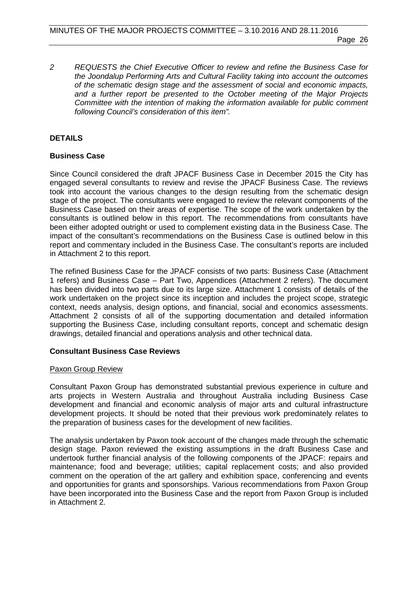*2 REQUESTS the Chief Executive Officer to review and refine the Business Case for the Joondalup Performing Arts and Cultural Facility taking into account the outcomes of the schematic design stage and the assessment of social and economic impacts, and a further report be presented to the October meeting of the Major Projects Committee with the intention of making the information available for public comment following Council's consideration of this item".*

# **DETAILS**

### **Business Case**

Since Council considered the draft JPACF Business Case in December 2015 the City has engaged several consultants to review and revise the JPACF Business Case. The reviews took into account the various changes to the design resulting from the schematic design stage of the project. The consultants were engaged to review the relevant components of the Business Case based on their areas of expertise. The scope of the work undertaken by the consultants is outlined below in this report. The recommendations from consultants have been either adopted outright or used to complement existing data in the Business Case. The impact of the consultant's recommendations on the Business Case is outlined below in this report and commentary included in the Business Case. The consultant's reports are included in Attachment 2 to this report.

The refined Business Case for the JPACF consists of two parts: Business Case (Attachment 1 refers) and Business Case – Part Two, Appendices (Attachment 2 refers). The document has been divided into two parts due to its large size. Attachment 1 consists of details of the work undertaken on the project since its inception and includes the project scope, strategic context, needs analysis, design options, and financial, social and economics assessments. Attachment 2 consists of all of the supporting documentation and detailed information supporting the Business Case, including consultant reports, concept and schematic design drawings, detailed financial and operations analysis and other technical data.

### **Consultant Business Case Reviews**

### Paxon Group Review

Consultant Paxon Group has demonstrated substantial previous experience in culture and arts projects in Western Australia and throughout Australia including Business Case development and financial and economic analysis of major arts and cultural infrastructure development projects. It should be noted that their previous work predominately relates to the preparation of business cases for the development of new facilities.

The analysis undertaken by Paxon took account of the changes made through the schematic design stage. Paxon reviewed the existing assumptions in the draft Business Case and undertook further financial analysis of the following components of the JPACF: repairs and maintenance; food and beverage; utilities; capital replacement costs; and also provided comment on the operation of the art gallery and exhibition space, conferencing and events and opportunities for grants and sponsorships. Various recommendations from Paxon Group have been incorporated into the Business Case and the report from Paxon Group is included in Attachment 2.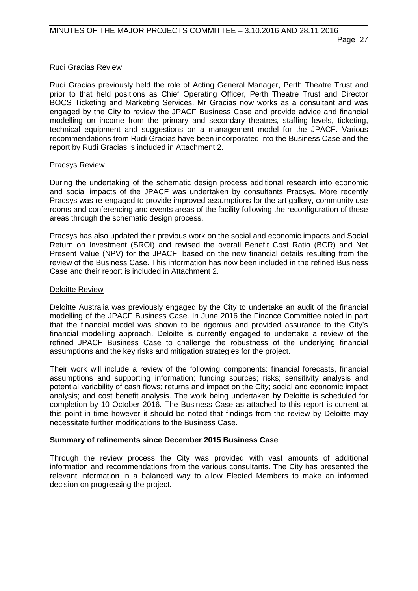# Rudi Gracias Review

Rudi Gracias previously held the role of Acting General Manager, Perth Theatre Trust and prior to that held positions as Chief Operating Officer, Perth Theatre Trust and Director BOCS Ticketing and Marketing Services. Mr Gracias now works as a consultant and was engaged by the City to review the JPACF Business Case and provide advice and financial modelling on income from the primary and secondary theatres, staffing levels, ticketing, technical equipment and suggestions on a management model for the JPACF. Various recommendations from Rudi Gracias have been incorporated into the Business Case and the report by Rudi Gracias is included in Attachment 2.

# Pracsys Review

During the undertaking of the schematic design process additional research into economic and social impacts of the JPACF was undertaken by consultants Pracsys. More recently Pracsys was re-engaged to provide improved assumptions for the art gallery, community use rooms and conferencing and events areas of the facility following the reconfiguration of these areas through the schematic design process.

Pracsys has also updated their previous work on the social and economic impacts and Social Return on Investment (SROI) and revised the overall Benefit Cost Ratio (BCR) and Net Present Value (NPV) for the JPACF, based on the new financial details resulting from the review of the Business Case. This information has now been included in the refined Business Case and their report is included in Attachment 2.

# Deloitte Review

Deloitte Australia was previously engaged by the City to undertake an audit of the financial modelling of the JPACF Business Case. In June 2016 the Finance Committee noted in part that the financial model was shown to be rigorous and provided assurance to the City's financial modelling approach. Deloitte is currently engaged to undertake a review of the refined JPACF Business Case to challenge the robustness of the underlying financial assumptions and the key risks and mitigation strategies for the project.

Their work will include a review of the following components: financial forecasts, financial assumptions and supporting information; funding sources; risks; sensitivity analysis and potential variability of cash flows; returns and impact on the City; social and economic impact analysis; and cost benefit analysis. The work being undertaken by Deloitte is scheduled for completion by 10 October 2016. The Business Case as attached to this report is current at this point in time however it should be noted that findings from the review by Deloitte may necessitate further modifications to the Business Case.

# **Summary of refinements since December 2015 Business Case**

Through the review process the City was provided with vast amounts of additional information and recommendations from the various consultants. The City has presented the relevant information in a balanced way to allow Elected Members to make an informed decision on progressing the project.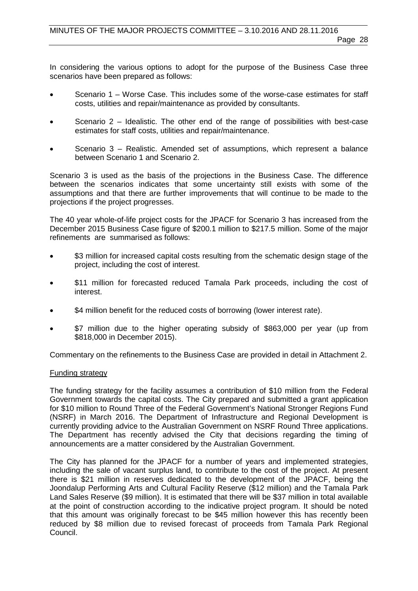In considering the various options to adopt for the purpose of the Business Case three scenarios have been prepared as follows:

- Scenario 1 Worse Case. This includes some of the worse-case estimates for staff costs, utilities and repair/maintenance as provided by consultants.
- Scenario  $2$  Idealistic. The other end of the range of possibilities with best-case estimates for staff costs, utilities and repair/maintenance.
- Scenario 3 Realistic. Amended set of assumptions, which represent a balance between Scenario 1 and Scenario 2.

Scenario 3 is used as the basis of the projections in the Business Case. The difference between the scenarios indicates that some uncertainty still exists with some of the assumptions and that there are further improvements that will continue to be made to the projections if the project progresses.

The 40 year whole-of-life project costs for the JPACF for Scenario 3 has increased from the December 2015 Business Case figure of \$200.1 million to \$217.5 million. Some of the major refinements are summarised as follows:

- \$3 million for increased capital costs resulting from the schematic design stage of the project, including the cost of interest.
- \$11 million for forecasted reduced Tamala Park proceeds, including the cost of interest.
- \$4 million benefit for the reduced costs of borrowing (lower interest rate).
- \$7 million due to the higher operating subsidy of \$863,000 per year (up from \$818,000 in December 2015).

Commentary on the refinements to the Business Case are provided in detail in Attachment 2.

# Funding strategy

The funding strategy for the facility assumes a contribution of \$10 million from the Federal Government towards the capital costs. The City prepared and submitted a grant application for \$10 million to Round Three of the Federal Government's National Stronger Regions Fund (NSRF) in March 2016. The Department of Infrastructure and Regional Development is currently providing advice to the Australian Government on NSRF Round Three applications. The Department has recently advised the City that decisions regarding the timing of announcements are a matter considered by the Australian Government.

The City has planned for the JPACF for a number of years and implemented strategies, including the sale of vacant surplus land, to contribute to the cost of the project. At present there is \$21 million in reserves dedicated to the development of the JPACF, being the Joondalup Performing Arts and Cultural Facility Reserve (\$12 million) and the Tamala Park Land Sales Reserve (\$9 million). It is estimated that there will be \$37 million in total available at the point of construction according to the indicative project program. It should be noted that this amount was originally forecast to be \$45 million however this has recently been reduced by \$8 million due to revised forecast of proceeds from Tamala Park Regional Council.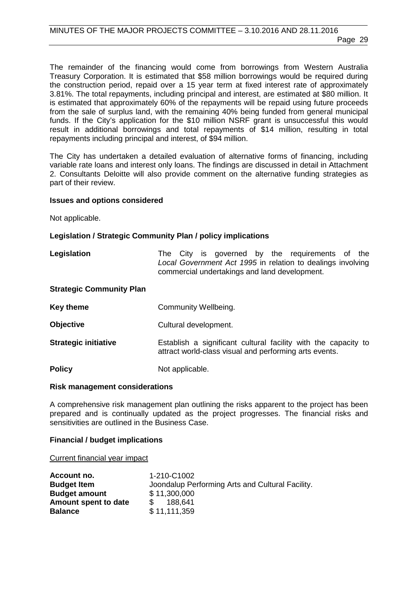The remainder of the financing would come from borrowings from Western Australia Treasury Corporation. It is estimated that \$58 million borrowings would be required during the construction period, repaid over a 15 year term at fixed interest rate of approximately 3.81%. The total repayments, including principal and interest, are estimated at \$80 million. It is estimated that approximately 60% of the repayments will be repaid using future proceeds from the sale of surplus land, with the remaining 40% being funded from general municipal funds. If the City's application for the \$10 million NSRF grant is unsuccessful this would result in additional borrowings and total repayments of \$14 million, resulting in total repayments including principal and interest, of \$94 million.

The City has undertaken a detailed evaluation of alternative forms of financing, including variable rate loans and interest only loans. The findings are discussed in detail in Attachment 2. Consultants Deloitte will also provide comment on the alternative funding strategies as part of their review.

### **Issues and options considered**

Not applicable.

### **Legislation / Strategic Community Plan / policy implications**

**Legislation** The City is governed by the requirements of the *Local Government Act 1995* in relation to dealings involving commercial undertakings and land development.

### **Strategic Community Plan**

**Key theme Community Wellbeing.** 

- **Objective** Cultural development.
- **Strategic initiative Establish a significant cultural facility with the capacity to** attract world-class visual and performing arts events.
- **Policy** Not applicable.

### **Risk management considerations**

A comprehensive risk management plan outlining the risks apparent to the project has been prepared and is continually updated as the project progresses. The financial risks and sensitivities are outlined in the Business Case.

### **Financial / budget implications**

Current financial year impact

| Account no.          | 1-210-C1002                                      |
|----------------------|--------------------------------------------------|
| <b>Budget Item</b>   | Joondalup Performing Arts and Cultural Facility. |
| <b>Budget amount</b> | \$11,300,000                                     |
| Amount spent to date | \$ 188,641                                       |
| <b>Balance</b>       | \$11,111,359                                     |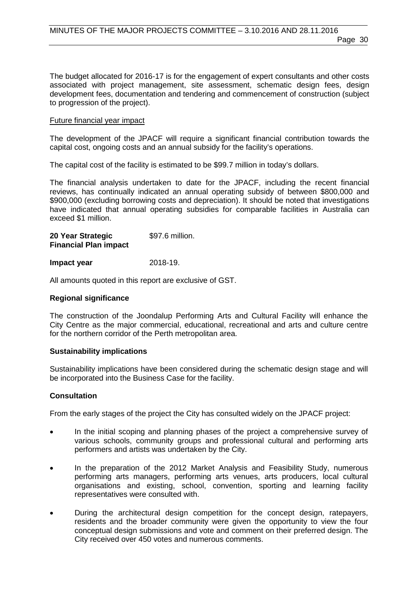The budget allocated for 2016-17 is for the engagement of expert consultants and other costs associated with project management, site assessment, schematic design fees, design development fees, documentation and tendering and commencement of construction (subject to progression of the project).

### Future financial year impact

The development of the JPACF will require a significant financial contribution towards the capital cost, ongoing costs and an annual subsidy for the facility's operations.

The capital cost of the facility is estimated to be \$99.7 million in today's dollars.

The financial analysis undertaken to date for the JPACF, including the recent financial reviews, has continually indicated an annual operating subsidy of between \$800,000 and \$900,000 (excluding borrowing costs and depreciation). It should be noted that investigations have indicated that annual operating subsidies for comparable facilities in Australia can exceed \$1 million.

| 20 Year Strategic            | \$97.6 million. |
|------------------------------|-----------------|
| <b>Financial Plan impact</b> |                 |

**Impact year** 2018-19.

All amounts quoted in this report are exclusive of GST.

### **Regional significance**

The construction of the Joondalup Performing Arts and Cultural Facility will enhance the City Centre as the major commercial, educational, recreational and arts and culture centre for the northern corridor of the Perth metropolitan area.

### **Sustainability implications**

Sustainability implications have been considered during the schematic design stage and will be incorporated into the Business Case for the facility.

### **Consultation**

From the early stages of the project the City has consulted widely on the JPACF project:

- In the initial scoping and planning phases of the project a comprehensive survey of various schools, community groups and professional cultural and performing arts performers and artists was undertaken by the City.
- In the preparation of the 2012 Market Analysis and Feasibility Study, numerous performing arts managers, performing arts venues, arts producers, local cultural organisations and existing, school, convention, sporting and learning facility representatives were consulted with.
- During the architectural design competition for the concept design, ratepayers, residents and the broader community were given the opportunity to view the four conceptual design submissions and vote and comment on their preferred design. The City received over 450 votes and numerous comments.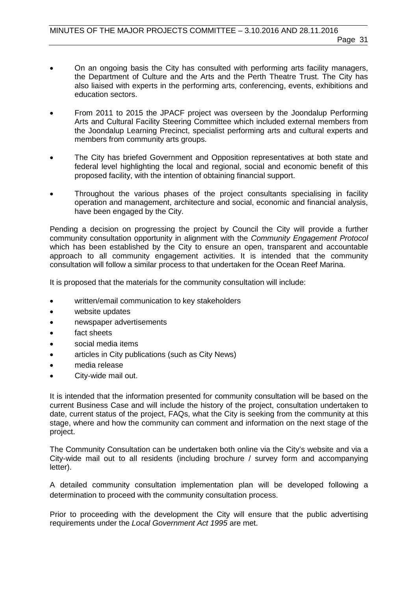- On an ongoing basis the City has consulted with performing arts facility managers, the Department of Culture and the Arts and the Perth Theatre Trust. The City has also liaised with experts in the performing arts, conferencing, events, exhibitions and education sectors.
- From 2011 to 2015 the JPACF project was overseen by the Joondalup Performing Arts and Cultural Facility Steering Committee which included external members from the Joondalup Learning Precinct, specialist performing arts and cultural experts and members from community arts groups.
- The City has briefed Government and Opposition representatives at both state and federal level highlighting the local and regional, social and economic benefit of this proposed facility, with the intention of obtaining financial support.
- Throughout the various phases of the project consultants specialising in facility operation and management, architecture and social, economic and financial analysis, have been engaged by the City.

Pending a decision on progressing the project by Council the City will provide a further community consultation opportunity in alignment with the *Community Engagement Protocol*  which has been established by the City to ensure an open, transparent and accountable approach to all community engagement activities. It is intended that the community consultation will follow a similar process to that undertaken for the Ocean Reef Marina.

It is proposed that the materials for the community consultation will include:

- written/email communication to key stakeholders
- website updates
- newspaper advertisements
- fact sheets
- social media items
- articles in City publications (such as City News)
- media release
- City-wide mail out.

It is intended that the information presented for community consultation will be based on the current Business Case and will include the history of the project, consultation undertaken to date, current status of the project, FAQs, what the City is seeking from the community at this stage, where and how the community can comment and information on the next stage of the project.

The Community Consultation can be undertaken both online via the City's website and via a City-wide mail out to all residents (including brochure / survey form and accompanying letter).

A detailed community consultation implementation plan will be developed following a determination to proceed with the community consultation process.

Prior to proceeding with the development the City will ensure that the public advertising requirements under the *Local Government Act 1995* are met.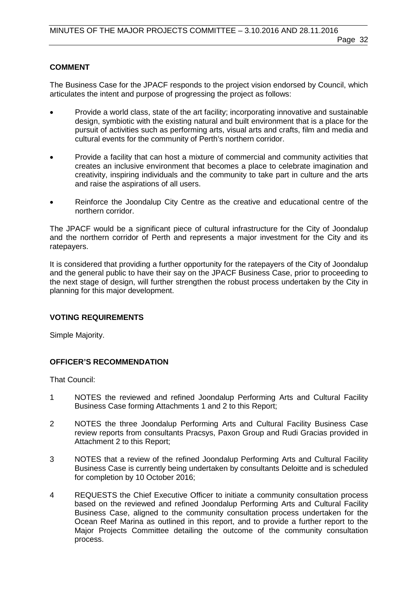# **COMMENT**

The Business Case for the JPACF responds to the project vision endorsed by Council, which articulates the intent and purpose of progressing the project as follows:

- Provide a world class, state of the art facility; incorporating innovative and sustainable design, symbiotic with the existing natural and built environment that is a place for the pursuit of activities such as performing arts, visual arts and crafts, film and media and cultural events for the community of Perth's northern corridor.
- Provide a facility that can host a mixture of commercial and community activities that creates an inclusive environment that becomes a place to celebrate imagination and creativity, inspiring individuals and the community to take part in culture and the arts and raise the aspirations of all users.
- Reinforce the Joondalup City Centre as the creative and educational centre of the northern corridor.

The JPACF would be a significant piece of cultural infrastructure for the City of Joondalup and the northern corridor of Perth and represents a major investment for the City and its ratepayers.

It is considered that providing a further opportunity for the ratepayers of the City of Joondalup and the general public to have their say on the JPACF Business Case, prior to proceeding to the next stage of design, will further strengthen the robust process undertaken by the City in planning for this major development.

# **VOTING REQUIREMENTS**

Simple Majority.

# **OFFICER'S RECOMMENDATION**

That Council:

- 1 NOTES the reviewed and refined Joondalup Performing Arts and Cultural Facility Business Case forming Attachments 1 and 2 to this Report;
- 2 NOTES the three Joondalup Performing Arts and Cultural Facility Business Case review reports from consultants Pracsys, Paxon Group and Rudi Gracias provided in Attachment 2 to this Report;
- 3 NOTES that a review of the refined Joondalup Performing Arts and Cultural Facility Business Case is currently being undertaken by consultants Deloitte and is scheduled for completion by 10 October 2016;
- 4 REQUESTS the Chief Executive Officer to initiate a community consultation process based on the reviewed and refined Joondalup Performing Arts and Cultural Facility Business Case, aligned to the community consultation process undertaken for the Ocean Reef Marina as outlined in this report, and to provide a further report to the Major Projects Committee detailing the outcome of the community consultation process.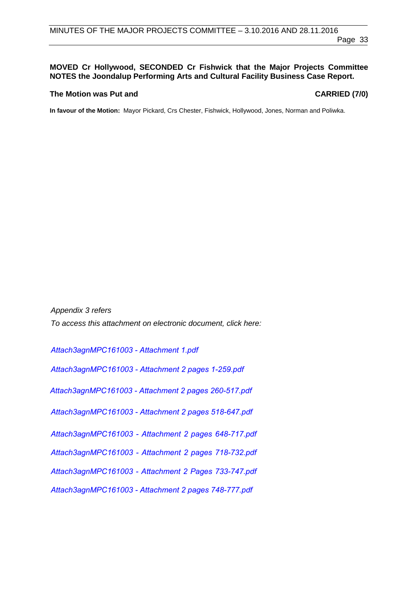# **MOVED Cr Hollywood, SECONDED Cr Fishwick that the Major Projects Committee NOTES the Joondalup Performing Arts and Cultural Facility Business Case Report.**

### **The Motion was Put and CARRIED (7/0)**

**In favour of the Motion:** Mayor Pickard, Crs Chester, Fishwick, Hollywood, Jones, Norman and Poliwka.

*Appendix 3 refers To access this attachment on electronic document, click here:*

*[Attach3agnMPC161003 - Attachment 1.pdf](http://www.joondalup.wa.gov.au/files/committees/MAPC/2016/Attach3agnMPC161003 - Attachment 1.pdf) [Attach3agnMPC161003 - Attachment 2 pages 1-259.pdf](http://www.joondalup.wa.gov.au/files/committees/MAPC/2016/Attach3agnMPC161003 - Attachment 2 pages 1-259.pdf) [Attach3agnMPC161003 - Attachment 2 pages 260-517.pdf](http://www.joondalup.wa.gov.au/files/committees/MAPC/2016/Attach3agnMPC161003 - Attachment 2 pages 260-517.pdf) [Attach3agnMPC161003 - Attachment 2 pages 518-647.pdf](http://www.joondalup.wa.gov.au/files/committees/MAPC/2016/Attach3agnMPC161003 - Attachment 2 pages 518-647.pdf) [Attach3agnMPC161003 - Attachment 2 pages 648-7](http://www.joondalup.wa.gov.au/files/committees/MAPC/2016/Attach3agnMPC161003 - Attachment 2 pages 648-717.pdf)17.pdf [Attach3agnMPC161003 - Attachment 2 pages 718-7](http://www.joondalup.wa.gov.au/files/committees/MAPC/2016/Attach3agnMPC161003 - Attachment 2 pages 718-732.pdf)32.pdf [Attach3agnMPC161003 - Attachment 2 Pages 733-747.pdf](http://www.joondalup.wa.gov.au/files/committees/MAPC/2016/Attach3agnMPC161003 - Attachment 2 Pages 733-747.pdf) [Attach3agnMPC161003 - Attachment 2 pages 748-777.pdf](http://www.joondalup.wa.gov.au/files/committees/MAPC/2016/Attach3agnMPC161003 - Attachment 2 pages 748-777.pdf)*